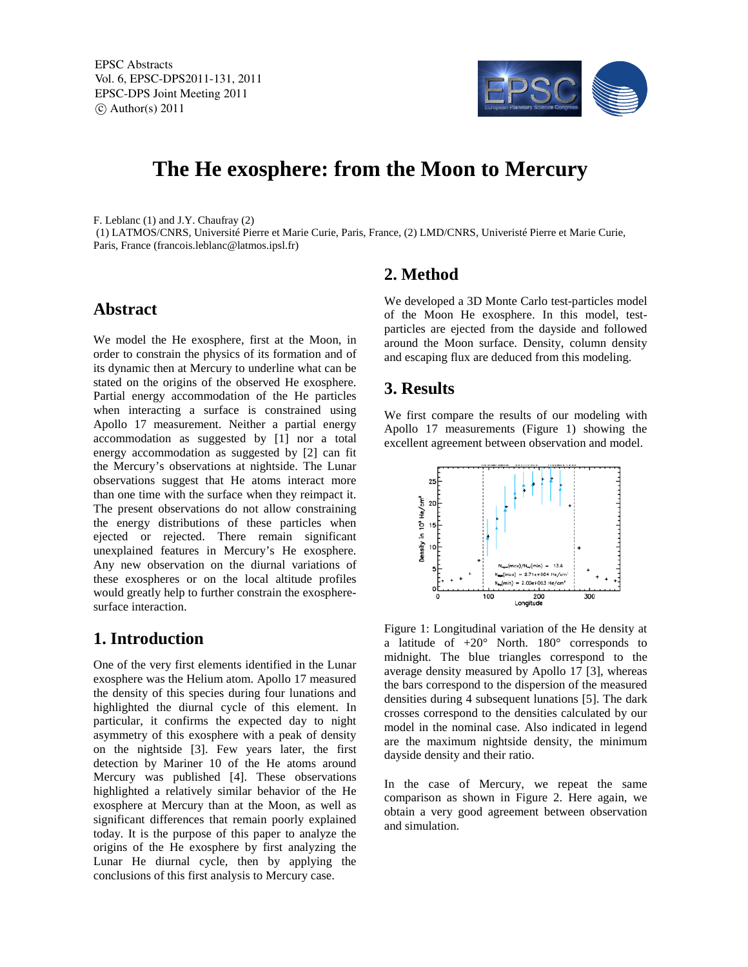

# **The He exosphere: from the Moon to Mercury**

F. Leblanc (1) and J.Y. Chaufray (2)

(1) LATMOS/CNRS, Université Pierre et Marie Curie, Paris, France, (2) LMD/CNRS, Univeristé Pierre et Marie Curie, Paris, France (francois.leblanc@latmos.ipsl.fr)

#### **Abstract**

We model the He exosphere, first at the Moon, in order to constrain the physics of its formation and of its dynamic then at Mercury to underline what can be stated on the origins of the observed He exosphere. Partial energy accommodation of the He particles when interacting a surface is constrained using Apollo 17 measurement. Neither a partial energy accommodation as suggested by [1] nor a total energy accommodation as suggested by [2] can fit the Mercury's observations at nightside. The Lunar observations suggest that He atoms interact more than one time with the surface when they reimpact it. The present observations do not allow constraining the energy distributions of these particles when ejected or rejected. There remain significant unexplained features in Mercury's He exosphere. Any new observation on the diurnal variations of these exospheres or on the local altitude profiles would greatly help to further constrain the exospheresurface interaction.

## **1. Introduction**

One of the very first elements identified in the Lunar exosphere was the Helium atom. Apollo 17 measured the density of this species during four lunations and highlighted the diurnal cycle of this element. In particular, it confirms the expected day to night asymmetry of this exosphere with a peak of density on the nightside [3]. Few years later, the first detection by Mariner 10 of the He atoms around Mercury was published [4]. These observations highlighted a relatively similar behavior of the He exosphere at Mercury than at the Moon, as well as significant differences that remain poorly explained today. It is the purpose of this paper to analyze the origins of the He exosphere by first analyzing the Lunar He diurnal cycle, then by applying the conclusions of this first analysis to Mercury case.

# **2. Method**

We developed a 3D Monte Carlo test-particles model of the Moon He exosphere. In this model, testparticles are ejected from the dayside and followed around the Moon surface. Density, column density and escaping flux are deduced from this modeling.

# **3. Results**

We first compare the results of our modeling with Apollo 17 measurements (Figure 1) showing the excellent agreement between observation and model.



Figure 1: Longitudinal variation of the He density at a latitude of +20° North. 180° corresponds to midnight. The blue triangles correspond to the average density measured by Apollo 17 [3], whereas the bars correspond to the dispersion of the measured densities during 4 subsequent lunations [5]. The dark crosses correspond to the densities calculated by our model in the nominal case. Also indicated in legend are the maximum nightside density, the minimum dayside density and their ratio.

In the case of Mercury, we repeat the same comparison as shown in Figure 2. Here again, we obtain a very good agreement between observation and simulation.